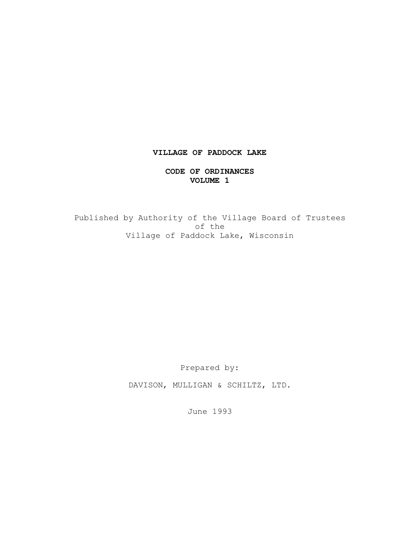# **VILLAGE OF PADDOCK LAKE**

## **CODE OF ORDINANCES VOLUME 1**

Published by Authority of the Village Board of Trustees of the Village of Paddock Lake, Wisconsin

Prepared by:

DAVISON, MULLIGAN & SCHILTZ, LTD.

June 1993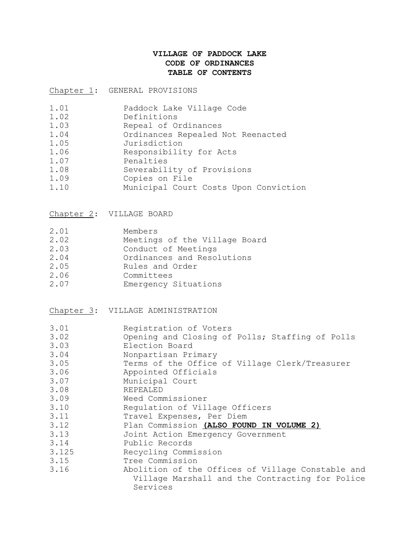# **VILLAGE OF PADDOCK LAKE CODE OF ORDINANCES TABLE OF CONTENTS**

Chapter 1: GENERAL PROVISIONS

| 1.01 | Paddock Lake Village Code             |
|------|---------------------------------------|
| 1.02 | Definitions                           |
| 1.03 | Repeal of Ordinances                  |
| 1.04 | Ordinances Repealed Not Reenacted     |
| 1.05 | Jurisdiction                          |
| 1.06 | Responsibility for Acts               |
| 1.07 | Penalties                             |
| 1.08 | Severability of Provisions            |
| 1.09 | Copies on File                        |
| 1.10 | Municipal Court Costs Upon Conviction |

Chapter 2: VILLAGE BOARD

| 2.01 | Members                       |
|------|-------------------------------|
| 2.02 | Meetings of the Village Board |
| 2.03 | Conduct of Meetings           |
| 2.04 | Ordinances and Resolutions    |
| 2.05 | Rules and Order               |
| 2.06 | Committees                    |
| 2.07 | Emergency Situations          |

Chapter 3: VILLAGE ADMINISTRATION

| 3.01<br>3.02 | Registration of Voters<br>Opening and Closing of Polls; Staffing of Polls |
|--------------|---------------------------------------------------------------------------|
| 3.03         | Election Board                                                            |
| 3.04         | Nonpartisan Primary                                                       |
| 3.05         | Terms of the Office of Village Clerk/Treasurer                            |
| 3.06         | Appointed Officials                                                       |
| 3.07         | Municipal Court                                                           |
| 3.08         | REPEALED                                                                  |
| 3.09         | Weed Commissioner                                                         |
| 3.10         | Regulation of Village Officers                                            |
| 3.11         | Travel Expenses, Per Diem                                                 |
| 3.12         | Plan Commission (ALSO FOUND IN VOLUME 2)                                  |
| 3.13         | Joint Action Emergency Government                                         |
| 3.14         | Public Records                                                            |
| 3.125        | Recycling Commission                                                      |
| 3.15         | Tree Commission                                                           |
| 3.16         | Abolition of the Offices of Village Constable and                         |
|              | Village Marshall and the Contracting for Police                           |
|              | Services                                                                  |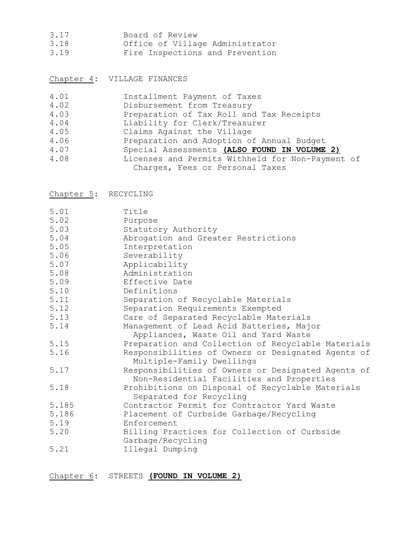- 3.17 Board of Review
- 3.18 Office of Village Administrator
- 3.19 Fire Inspections and Prevention

Chapter 4: VILLAGE FINANCES

| 4.01 | Installment Payment of Taxes                     |
|------|--------------------------------------------------|
| 4.02 | Disbursement from Treasury                       |
| 4.03 | Preparation of Tax Roll and Tax Receipts         |
| 4.04 | Liability for Clerk/Treasurer                    |
| 4.05 | Claims Against the Village                       |
| 4.06 | Preparation and Adoption of Annual Budget        |
| 4.07 | Special Assessments (ALSO FOUND IN VOLUME 2)     |
| 4.08 | Licenses and Permits Withheld for Non-Payment of |
|      | Charges, Fees or Personal Taxes                  |
|      |                                                  |

Chapter 5: RECYCLING

| 5.01  | Title                                                                                           |
|-------|-------------------------------------------------------------------------------------------------|
| 5.02  | Purpose                                                                                         |
| 5.03  | Statutory Authority                                                                             |
| 5.04  | Abrogation and Greater Restrictions                                                             |
| 5.05  | Interpretation                                                                                  |
| 5.06  | Severability                                                                                    |
| 5.07  | Applicability                                                                                   |
| 5.08  | Administration                                                                                  |
| 5.09  | Effective Date                                                                                  |
| 5.10  | Definitions                                                                                     |
| 5.11  | Separation of Recyclable Materials                                                              |
| 5.12  | Separation Requirements Exempted                                                                |
| 5.13  | Care of Separated Recyclable Materials                                                          |
| 5.14  | Management of Lead Acid Batteries, Major<br>Appliances, Waste Oil and Yard Waste                |
| 5.15  | Preparation and Collection of Recyclable Materials                                              |
| 5.16  | Responsibilities of Owners or Designated Agents of<br>Multiple-Family Dwellings                 |
| 5.17  | Responsibilities of Owners or Designated Agents of<br>Non-Residential Facilities and Properties |
| 5.18  | Prohibitions on Disposal of Recyclable Materials<br>Separated for Recycling                     |
| 5.185 | Contractor Permit for Contractor Yard Waste                                                     |
| 5.186 | Placement of Curbside Garbage/Recycling                                                         |
| 5.19  | Enforcement                                                                                     |
| 5.20  | Billing Practices for Collection of Curbside<br>Garbage/Recycling                               |
| 5.21  | Illegal Dumping                                                                                 |

Chapter 6: STREETS **(FOUND IN VOLUME 2)**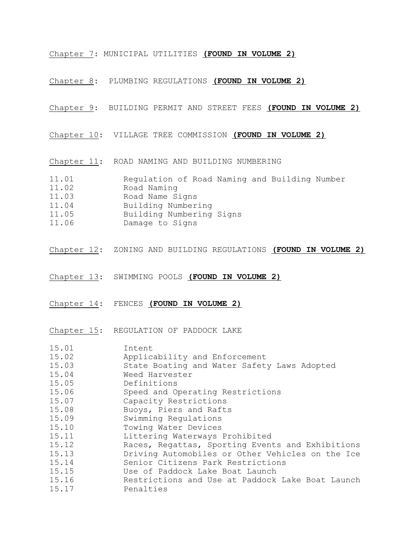Chapter 7: MUNICIPAL UTILITIES **(FOUND IN VOLUME 2)**

Chapter 8: PLUMBING REGULATIONS **(FOUND IN VOLUME 2)**

Chapter 9: BUILDING PERMIT AND STREET FEES **(FOUND IN VOLUME 2)**

Chapter 10: VILLAGE TREE COMMISSION **(FOUND IN VOLUME 2)**

Chapter 11: ROAD NAMING AND BUILDING NUMBERING

11.01 Regulation of Road Naming and Building Number

- 11.02 Road Naming<br>11.03 Road Name S Road Name Signs
- 11.04 Building Numbering
- 
- 11.05 Building Numbering Signs
- 11.06 Damage to Signs
- Chapter 12: ZONING AND BUILDING REGULATIONS **(FOUND IN VOLUME 2)**
- Chapter 13: SWIMMING POOLS **(FOUND IN VOLUME 2)**
- Chapter 14: FENCES **(FOUND IN VOLUME 2)**

Chapter 15: REGULATION OF PADDOCK LAKE

| 15.01 | Intent                                           |
|-------|--------------------------------------------------|
| 15.02 | Applicability and Enforcement                    |
| 15.03 | State Boating and Water Safety Laws Adopted      |
| 15.04 | Weed Harvester                                   |
| 15.05 | Definitions                                      |
| 15.06 | Speed and Operating Restrictions                 |
| 15.07 | Capacity Restrictions                            |
| 15.08 | Buoys, Piers and Rafts                           |
| 15.09 | Swimming Regulations                             |
| 15.10 | Towing Water Devices                             |
| 15.11 | Littering Waterways Prohibited                   |
| 15.12 | Races, Regattas, Sporting Events and Exhibitions |
| 15.13 | Driving Automobiles or Other Vehicles on the Ice |
| 15.14 | Senior Citizens Park Restrictions                |
| 15.15 | Use of Paddock Lake Boat Launch                  |
| 15.16 | Restrictions and Use at Paddock Lake Boat Launch |
| 15.17 | Penalties                                        |
|       |                                                  |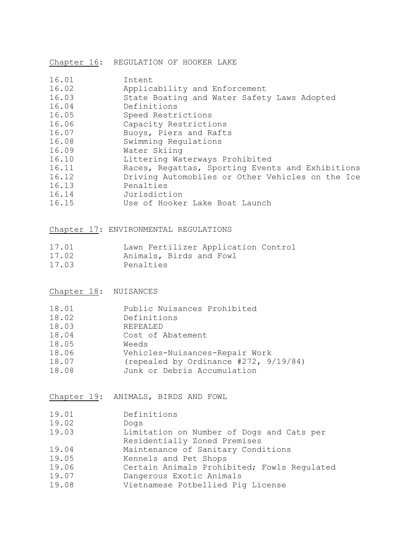Chapter 16: REGULATION OF HOOKER LAKE

| 16.01 | Intent                                           |
|-------|--------------------------------------------------|
| 16.02 | Applicability and Enforcement                    |
| 16.03 | State Boating and Water Safety Laws Adopted      |
| 16.04 | Definitions                                      |
| 16.05 | Speed Restrictions                               |
| 16.06 | Capacity Restrictions                            |
| 16.07 | Buoys, Piers and Rafts                           |
| 16.08 | Swimming Regulations                             |
| 16.09 | Water Skiing                                     |
| 16.10 | Littering Waterways Prohibited                   |
| 16.11 | Races, Regattas, Sporting Events and Exhibitions |
| 16.12 | Driving Automobiles or Other Vehicles on the Ice |
| 16.13 | Penalties                                        |
| 16.14 | Jurisdiction                                     |
| 16.15 | Use of Hooker Lake Boat Launch                   |

Chapter 17: ENVIRONMENTAL REGULATIONS

| 17.01 | Lawn Fertilizer Application Control |  |
|-------|-------------------------------------|--|
| 17.02 | Animals, Birds and Fowl             |  |
| .     |                                     |  |

17.03 Penalties

Chapter 18: NUISANCES

| 18.01 |  | Public Nuisances Prohibited |
|-------|--|-----------------------------|
|-------|--|-----------------------------|

- 18.02 Definitions
- 18.03 REPEALED
- 18.04 Cost of Abatement
- 18.05 Weeds
- 18.06 Vehicles-Nuisances-Repair Work
- 18.07 (repealed by Ordinance #272, 9/19/84)
- 18.08 Junk or Debris Accumulation

Chapter 19: ANIMALS, BIRDS AND FOWL

- 19.02 Dogs
- 19.03 Limitation on Number of Dogs and Cats per
- Residentially Zoned Premises
- 19.04 Maintenance of Sanitary Conditions
- 19.05 Kennels and Pet Shops<br>19.06 Certain Animals Prohil
- Certain Animals Prohibited; Fowls Regulated
- 19.07 Dangerous Exotic Animals
- 19.08 Vietnamese Potbellied Pig License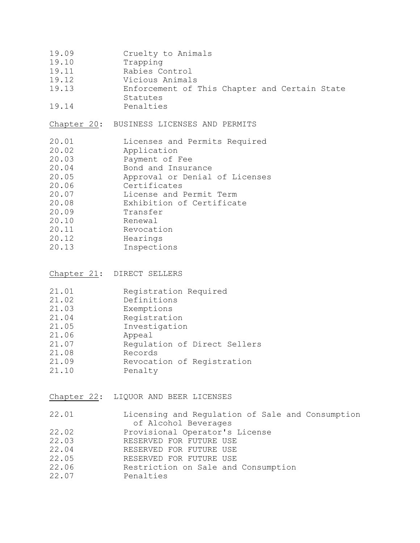- 19.09 Cruelty to Animals
- 19.10 Trapping
- 19.11 Rabies Control
- 19.12 Vicious Animals
- 19.13 Enforcement of This Chapter and Certain State
- Statutes 19.14 Penalties

#### Chapter 20: BUSINESS LICENSES AND PERMITS

- 20.01 Licenses and Permits Required
- 20.02 Application
- 20.03 Payment of Fee
- 20.04 Bond and Insurance
- 20.05 Approval or Denial of Licenses
- 20.06 Certificates
- 20.07 License and Permit Term
- 20.08 Exhibition of Certificate
- 20.09 Transfer
- 20.10 Renewal
- 20.11 Revocation
- 20.12 Hearings
- 20.13 Inspections

| Chapter 21: |  | DIRECT SELLERS |
|-------------|--|----------------|
|-------------|--|----------------|

| 21.01 | Registration Required        |
|-------|------------------------------|
| 21.02 | Definitions                  |
| 21.03 | Exemptions                   |
| 21.04 | Registration                 |
| 21.05 | Investigation                |
| 21.06 | Appeal                       |
| 21.07 | Requlation of Direct Sellers |
| 21.08 | Records                      |
| 21.09 | Revocation of Registration   |
| 21.10 | Penalty                      |

Chapter 22: LIQUOR AND BEER LICENSES

| 22.01 |  |                      |  | Licensing and Regulation of Sale and Consumption |
|-------|--|----------------------|--|--------------------------------------------------|
|       |  | of Alcohol Beverages |  |                                                  |

- 22.02 Provisional Operator's License
- 22.03 RESERVED FOR FUTURE USE
- 22.04 RESERVED FOR FUTURE USE
- 22.05 RESERVED FOR FUTURE USE
- 22.06 Restriction on Sale and Consumption
- 22.07 Penalties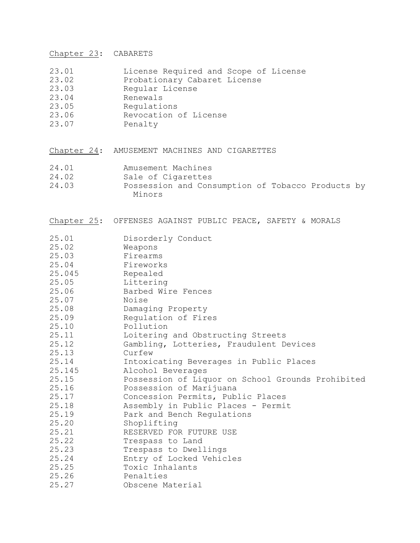Chapter 23: CABARETS

- 23.01 License Required and Scope of License
- 23.02 Probationary Cabaret License
- 23.03 Regular License<br>23.04 Renewals
- Renewals
- 23.05 Regulations
- Revocation of License 23.06 Revocat:<br>23.07 Penalty
- 

Chapter 24: AMUSEMENT MACHINES AND CIGARETTES

- 24.01 Amusement Machines<br>24.02 Sale of Cigarettes
- 24.02 Sale of Cigarettes<br>24.03 Possession and Cons
- Possession and Consumption of Tobacco Products by Minors
- Chapter 25: OFFENSES AGAINST PUBLIC PEACE, SAFETY & MORALS

| 25.01<br>25.02 | Disorderly Conduct<br>Weapons                     |
|----------------|---------------------------------------------------|
| 25.03          | Firearms                                          |
| 25.04          | Fireworks                                         |
| 25.045         | Repealed                                          |
| 25.05          | Littering                                         |
| 25.06          | Barbed Wire Fences                                |
| 25.07          | Noise                                             |
| 25.08          | Damaging Property                                 |
| 25.09          | Regulation of Fires                               |
| 25.10          | Pollution                                         |
| 25.11          | Loitering and Obstructing Streets                 |
| 25.12          | Gambling, Lotteries, Fraudulent Devices           |
| 25.13          | Curfew                                            |
| 25.14          | Intoxicating Beverages in Public Places           |
| 25.145         | Alcohol Beverages                                 |
| 25.15          | Possession of Liquor on School Grounds Prohibited |
| 25.16          | Possession of Marijuana                           |
| 25.17          | Concession Permits, Public Places                 |
| 25.18          | Assembly in Public Places - Permit                |
| 25.19          | Park and Bench Regulations                        |
| 25.20          | Shoplifting                                       |
| 25.21          | RESERVED FOR FUTURE USE                           |
| 25.22          | Trespass to Land                                  |
| 25.23          | Trespass to Dwellings                             |
| 25.24          | Entry of Locked Vehicles                          |
| 25.25          | Toxic Inhalants                                   |
| 25.26          | Penalties                                         |
| 25.27          | Obscene Material                                  |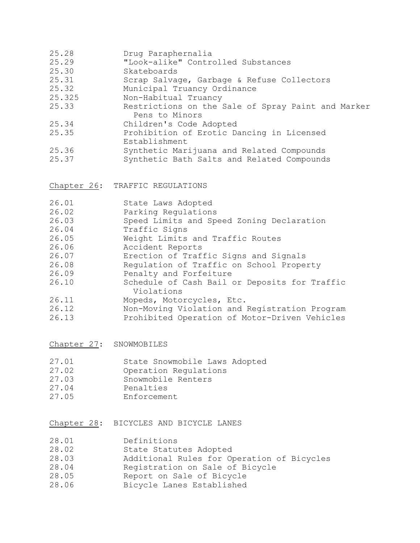|  | 25.28 | Drug Paraphernalia |
|--|-------|--------------------|
|--|-------|--------------------|

- 25.29 "Look-alike" Controlled Substances
- 25.30 Skateboards<br>25.31 Scrap Salvac
- Scrap Salvage, Garbage & Refuse Collectors
- 25.32 Municipal Truancy Ordinance<br>25.325 Mon-Habitual Truancy
- Non-Habitual Truancy
- 25.33 Restrictions on the Sale of Spray Paint and Marker Pens to Minors
- 25.34 Children's Code Adopted
- 25.35 Prohibition of Erotic Dancing in Licensed Establishment
- 25.36 Synthetic Marijuana and Related Compounds
- 25.37 Synthetic Bath Salts and Related Compounds

Chapter 26: TRAFFIC REGULATIONS

| 26.01 | State Laws Adopted                            |
|-------|-----------------------------------------------|
| 26.02 | Parking Regulations                           |
| 26.03 | Speed Limits and Speed Zoning Declaration     |
| 26.04 | Traffic Signs                                 |
| 26.05 | Weight Limits and Traffic Routes              |
| 26.06 | Accident Reports                              |
| 26.07 | Erection of Traffic Signs and Signals         |
| 26.08 | Regulation of Traffic on School Property      |
| 26.09 | Penalty and Forfeiture                        |
| 26.10 | Schedule of Cash Bail or Deposits for Traffic |
|       | Violations                                    |
| 26.11 | Mopeds, Motorcycles, Etc.                     |
| 26.12 | Non-Moving Violation and Registration Program |
| 26.13 | Prohibited Operation of Motor-Driven Vehicles |

Chapter 27: SNOWMOBILES

| 27.01 | State Snowmobile Laws Adopted |
|-------|-------------------------------|
| 27.02 | Operation Regulations         |
| 27.03 | Snowmobile Renters            |
| 27.04 | Penalties                     |
| 27.05 | Enforcement                   |

- Chapter 28: BICYCLES AND BICYCLE LANES
- 28.01 Definitions
- 28.02 State Statutes Adopted
- 28.03 Additional Rules for Operation of Bicycles<br>28.04 Registration on Sale of Bicycle
- Registration on Sale of Bicycle
- 28.05 Report on Sale of Bicycle
- 28.06 Bicycle Lanes Established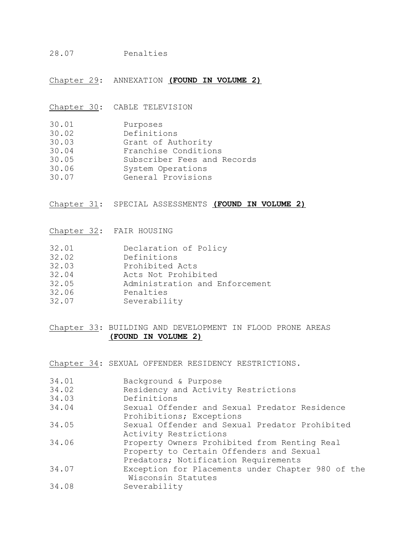#### 28.07 Penalties

Chapter 29: ANNEXATION **(FOUND IN VOLUME 2)**

Chapter 30: CABLE TELEVISION

- 30.01 Purposes
- 30.02 Definitions
- 30.03 Grant of Authority
- 30.04 Franchise Conditions
- 30.05 Subscriber Fees and Records
- 30.06 System Operations<br>30.07 General Provisions
- General Provisions

Chapter 31: SPECIAL ASSESSMENTS **(FOUND IN VOLUME 2)**

Chapter 32: FAIR HOUSING

- 32.01 Declaration of Policy
- 32.02 Definitions
- 32.03 Prohibited Acts
- 32.04 Acts Not Prohibited
- 32.05 Administration and Enforcement
- 32.06 Penalties
- 32.07 Severability

### Chapter 33: BUILDING AND DEVELOPMENT IN FLOOD PRONE AREAS **(FOUND IN VOLUME 2)**

Chapter 34: SEXUAL OFFENDER RESIDENCY RESTRICTIONS.

| 34.01 | Background & Purpose                                                                                                             |
|-------|----------------------------------------------------------------------------------------------------------------------------------|
| 34.02 | Residency and Activity Restrictions                                                                                              |
| 34.03 | Definitions                                                                                                                      |
| 34.04 | Sexual Offender and Sexual Predator Residence<br>Prohibitions; Exceptions                                                        |
| 34.05 | Sexual Offender and Sexual Predator Prohibited<br>Activity Restrictions                                                          |
| 34.06 | Property Owners Prohibited from Renting Real<br>Property to Certain Offenders and Sexual<br>Predators; Notification Requirements |
| 34.07 | Exception for Placements under Chapter 980 of the<br>Wisconsin Statutes                                                          |
| 34.08 | Severability                                                                                                                     |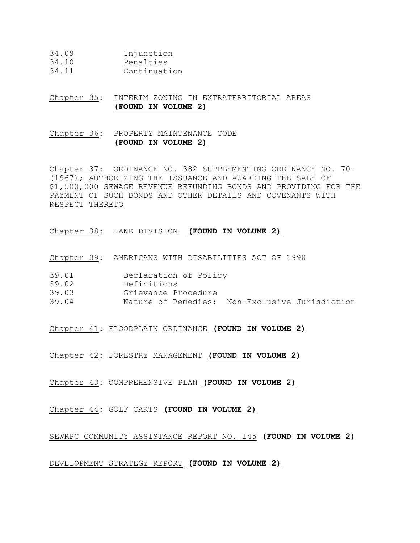| 34.09 | Injunction |
|-------|------------|
|-------|------------|

- 34.10 Penalties
- 34.11 Continuation

# Chapter 35: INTERIM ZONING IN EXTRATERRITORIAL AREAS  **(FOUND IN VOLUME 2)**

### Chapter 36: PROPERTY MAINTENANCE CODE **(FOUND IN VOLUME 2)**

Chapter 37: ORDINANCE NO. 382 SUPPLEMENTING ORDINANCE NO. 70- (1967); AUTHORIZING THE ISSUANCE AND AWARDING THE SALE OF \$1,500,000 SEWAGE REVENUE REFUNDING BONDS AND PROVIDING FOR THE PAYMENT OF SUCH BONDS AND OTHER DETAILS AND COVENANTS WITH RESPECT THERETO

Chapter 38: LAND DIVISION **(FOUND IN VOLUME 2)**

Chapter 39: AMERICANS WITH DISABILITIES ACT OF 1990

- 39.01 Declaration of Policy
- 39.02 Definitions
- 39.03 Grievance Procedure
- 39.04 Nature of Remedies: Non-Exclusive Jurisdiction

Chapter 41: FLOODPLAIN ORDINANCE **(FOUND IN VOLUME 2)**

Chapter 42: FORESTRY MANAGEMENT **(FOUND IN VOLUME 2)**

Chapter 43: COMPREHENSIVE PLAN **(FOUND IN VOLUME 2)**

Chapter 44: GOLF CARTS **(FOUND IN VOLUME 2)**

SEWRPC COMMUNITY ASSISTANCE REPORT NO. 145 **(FOUND IN VOLUME 2)**

#### DEVELOPMENT STRATEGY REPORT **(FOUND IN VOLUME 2)**